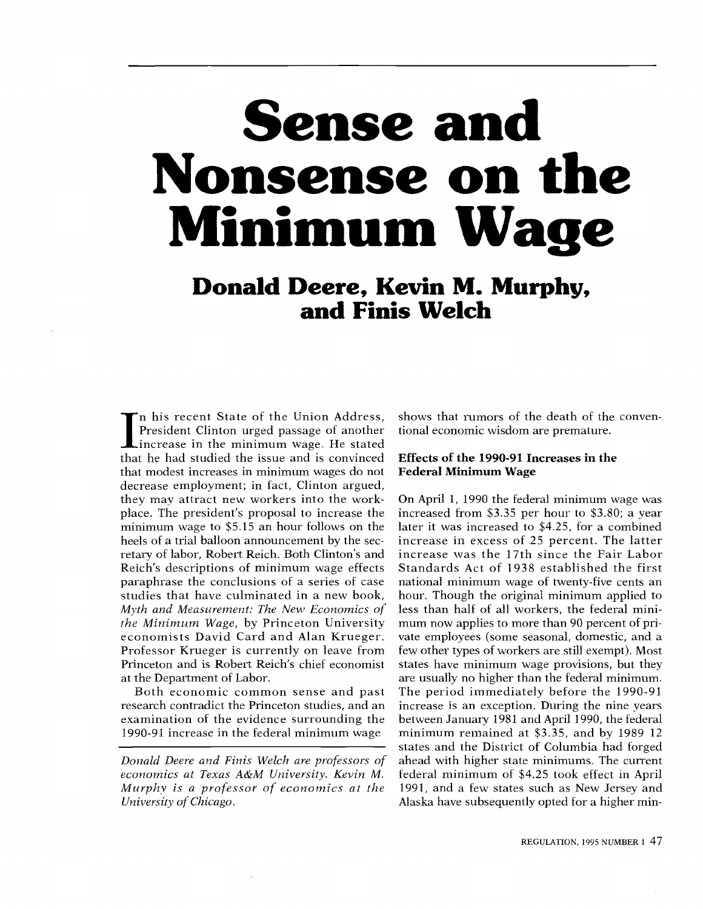# Sense and Nonsense on the Minimum Wage

Donald Deere, Kevin M. Murphy, and Finis Welch

 $\frac{0}{1}$ llow<br>1t by<br>Clin studies that have culminated in a new book, hou In his recent State of the Union Address, show<br>
President Clinton urged passage of another tion<br>
increase in the minimum wage. He stated<br>
that he had studied the issue and is convinced. President Clinton urged passage of another that he had studied the issue and is convinced that modest increases in minimum wages do not decrease employment; in fact, Clinton argued, they may attract new workers into the workplace. The president's proposal to increase the minimum wage to \$5.15 an hour follows on the heels of a trial balloon announcement by the secretary of labor, Robert Reich. Both Clinton's and Reich's descriptions of minimum wage effects paraphrase the conclusions of a series of case Myth and Measurement: The New Economics of the Minimum Wage, by Princeton University economists David Card and Alan Krueger. Professor Krueger is currently on leave from Princeton and is Robert Reich's chief economist at the Department of Labor.

Both economic common sense and past research contradict the Princeton studies, and an examination of the evidence surrounding the 1990-91 increase in the federal minimum wage

Donald Deere and Finis Welch are professors of economics at Texas A&M University. Kevin M. Murphy is a professor of economics at the University of Chicago.

shows that rumors of the death of the conventional economic wisdom are premature.

# Effects of the 1990-91 Increases in the Federal Minimum Wage

On April 1, 1990 the federal minimum wage was increased from \$3.35 per hour to \$3.80; a year later it was increased to \$4.25, for a combined increase in excess of 25 percent. The latter increase was the 17th since the Fair Labor Standards Act of 1938 established the first national minimum wage of twenty-five cents an hour. Though the original minimum applied to less than half of all workers, the federal minimum now applies to more than 90 percent of private employees (some seasonal, domestic, and a few other types of workers are still exempt). Most states have minimum wage provisions, but they are usually no higher than the federal minimum. The period immediately before the 1990-91 increase is an exception. During the nine years between January 1981 and April 1990, the federal minimum remained at \$3.35, and by 1989 12 states and the District of Columbia had forged ahead with higher state minimums. The current federal minimum of \$4.25 took effect in April 1991, and a few states such as New Jersey and Alaska have subsequently opted for a higher min-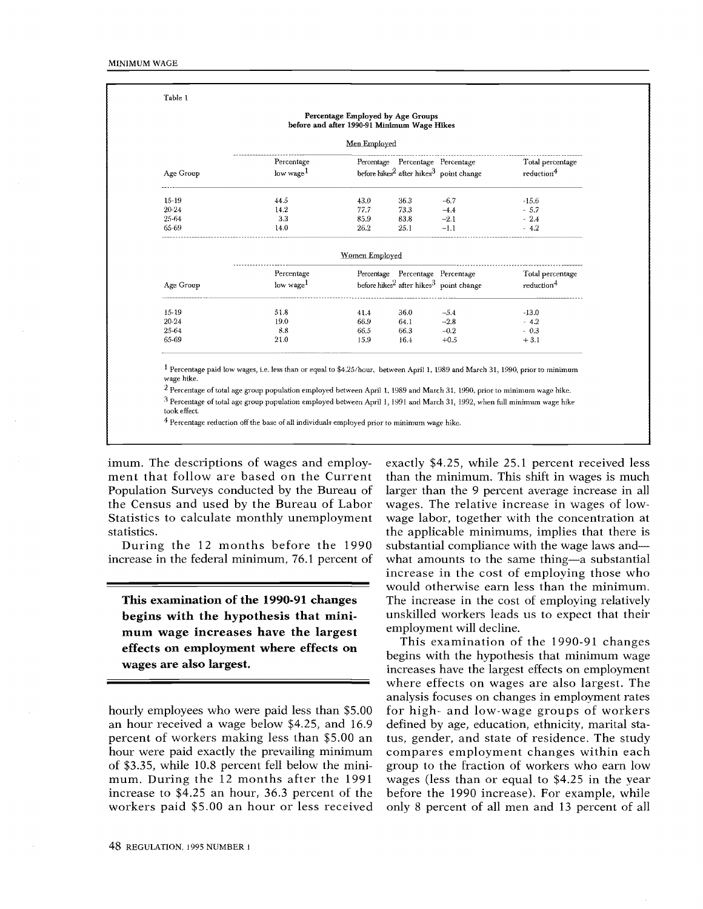|           |                       | Percentage Employed by Age Groups<br>before and after 1990-91 Minimum Wage Hikes |      |                                                                 |                        |
|-----------|-----------------------|----------------------------------------------------------------------------------|------|-----------------------------------------------------------------|------------------------|
|           |                       | Men Employed                                                                     |      |                                                                 |                        |
|           | Percentage            |                                                                                  |      | Percentage Percentage Percentage                                | Total percentage       |
| Age Group | low wage <sup>1</sup> |                                                                                  |      | before hikes <sup>2</sup> after hikes <sup>3</sup> point change | reduction <sup>4</sup> |
| 15-19     | 44.5                  | 43.0                                                                             | 36.3 | $-6.7$                                                          | $-15.6$                |
| 20-24     | 14.2                  | 77.7                                                                             | 73.3 | $-4.4$                                                          | $-5.7$                 |
| 25-64     | 3.3                   | 85.9                                                                             | 83.8 | $-2.1$                                                          | $-24$                  |
| 65-69     | 14.0                  | 26.2                                                                             | 25.1 | $-1.1$                                                          | $-4.2$                 |
|           |                       | Women Employed                                                                   |      |                                                                 |                        |
|           | Percentage            |                                                                                  |      | Percentage Percentage Percentage                                | Total percentage       |
| Age Group | low wage <sup>1</sup> |                                                                                  |      | before hikes <sup>2</sup> after hikes <sup>3</sup> point change | reduction <sup>4</sup> |
| $15-19$   | 51.8                  | 41.4                                                                             | 36.0 | $-5.4$                                                          | $-13.0$                |
|           | 19.0                  | 66.9                                                                             | 64.1 | $-2.8$                                                          | $-4.2$                 |
| $20 - 24$ |                       | 66.5                                                                             | 66.3 | $-0.2$                                                          | $-0.3$                 |
| 25-64     | 8.8                   |                                                                                  |      |                                                                 |                        |

wage hike.

 $^2$  Percentage of total age group population employed between April 1, 1989 and March 31, 1990, prior to minimum wage hike.

 $3$  Percentage of total age group population employed between April 1, 1991 and March 31, 1992, when full minimum wage hike took effect.

 $4$  Percentage reduction off the base of all individuals employed prior to minimum wage hike.

Population Surveys conducted by the Bureau of larg<br>the Census and used by the Bureau of Labor wag imum. The descriptions of wages and employment that follow are based on the Current Population Surveys conducted by the Bureau of Statistics to calculate monthly unemployment statistics.

During the 12 months before the 1990 increase in the federal minimum, 76.1 percent of

This examination of the 1990-91 changes begins with the hypothesis that minimum wage increases have the largest effects on employment where effects on wages are also largest.

ncrease to \$4.25 an nour, 56.5 percent of the before<br>workers paid \$5.00 an hour or less received only hourly employees who were paid less than \$5.00 an hour received a wage below \$4.25, and 16.9 percent of workers making less than \$5.00 an hour were paid exactly the prevailing minimum of \$3.35, while 10.8 percent fell below the minimum. During the 12 months after the 1991 increase to \$4.25 an hour, 36.3 percent of the

would otherwise earn less than the minimum. unskilled workers leads us to expect that their exactly \$4.25, while 25.1 percent received less than the minimum. This shift in wages is much larger than the 9 percent average increase in all wages. The relative increase in wages of lowwage labor, together with the concentration at the applicable minimums, implies that there is substantial compliance with the wage laws and what amounts to the same thing-a substantial increase in the cost of employing those who The increase in the cost of employing relatively employment will decline.

only 8 percent of all men and 13 percent of all This examination of the 1990-91 changes begins with the hypothesis that minimum wage increases have the largest effects on employment where effects on wages are also largest. The analysis focuses on changes in employment rates for high- and low-wage groups of workers defined by age, education, ethnicity, marital status, gender, and state of residence. The study compares employment changes within each group to the fraction of workers who earn low wages (less than or equal to \$4.25 in the year before the 1990 increase). For example, while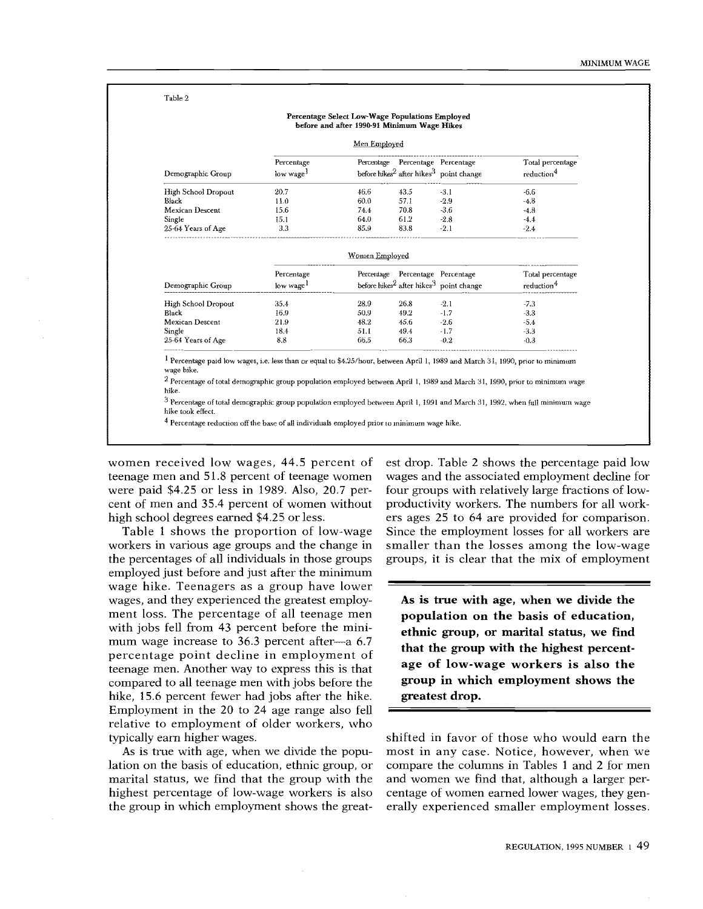#### Table 2

|                              |                       | Men Employed   |                                  |                                                                 |                        |
|------------------------------|-----------------------|----------------|----------------------------------|-----------------------------------------------------------------|------------------------|
|                              | Percentage            |                |                                  | Percentage Percentage Percentage                                | Total percentage       |
| Demographic Group            | low wage <sup>1</sup> |                |                                  | before hikes <sup>2</sup> after hikes <sup>3</sup> point change | reduction <sup>4</sup> |
| High School Dropout          | 20.7                  | 46.6           | 43.5                             | $-3.1$                                                          | $-6.6$                 |
| Black                        | 11.0                  | 60.0           | 57.1                             | $-2.9$                                                          | $-4.8$                 |
| Mexican Descent              | 15.6                  | 74.4           | 70.8                             | $-3.6$                                                          | $-4.8$                 |
| Single                       | 15.1                  | 64.0           | 61.2                             | $-2.8$                                                          | $-4.4$                 |
| 25-64 Years of Age           | 3.3                   | 85.9           | 83.8                             | $-2.1$                                                          | $-2.4$                 |
|                              |                       | Women Employed |                                  |                                                                 |                        |
|                              | Percentage            |                | Percentage Percentage Percentage |                                                                 | Total percentage       |
| Demographic Group            | low wage <sup>1</sup> |                |                                  | before hikes <sup>2</sup> after hikes <sup>3</sup> point change | reduction <sup>4</sup> |
| High School Dropout          | 35.4                  | 28.9           | 26.8                             | $-2.1$                                                          | $-7.3$                 |
| Black                        | 16.9                  | 50.9           | 49.2                             | $-1.7$                                                          | $-33$                  |
| Mexican Descent              | 21.9                  | 48.2           | 45.6                             | $-2.6$                                                          | $-54$                  |
| Single<br>25-64 Years of Age | 18.4<br>8.8           | 51.1<br>66.5   | 49.4<br>66.3                     | $-1.7$<br>$-0.2$                                                | $-3.3$<br>$-0.3$       |

 $^2$  Percentage of total demographic group population employed between April 1, 1989 and March 31, 1990, prior to minimum wage<br>hike.

<sup>3</sup>Percentage of total demographic group population employed between April 1, 1991 and March 31, 1992, when full minimum wage hike took effect.

<sup>4</sup>Percentage reduction off the base of all individuals employed prior to minimum wage hike.

women received low wages, 44.5 percent of teenage men and 51.8 percent of teenage women were paid \$4.25 or less in 1989. Also, 20.7 percent of men and 35.4 percent of women without high school degrees earned \$4.25 or less.

or<br><sup>le</sup><br>ls teenage men. Another way to express this is that<br>compared to all teenage men with jobs before the<br>hike, 15.6 percent fewer had jobs after the hike. mum wage increase to  $36.3$  percent after-a 6.7 relative to employment of older workers, who Table 1 shows the proportion of low-wage workers in various age groups and the change in the percentages of all individuals in those groups employed just before and just after the minimum wage hike. Teenagers as a group have lower wages, and they experienced the greatest employment loss. The percentage of all teenage men with jobs fell from 43 percent before the minipercentage point decline in employment of teenage men. Another way to express this is that compared to all teenage men with jobs before the Employment in the 20 to 24 age range also fell typically earn higher wages.

marital status, we find that the group with the and As is true with age, when we divide the population on the basis of education, ethnic group, or highest percentage of low-wage workers is also the group in which employment shows the great-

est drop. Table 2 shows the percentage paid low wages and the associated employment decline for four groups with relatively large fractions of lowproductivity workers. The numbers for all workers ages 25 to 64 are provided for comparison. Since the employment losses for all workers are smaller than the losses among the low-wage groups, it is clear that the mix of employment

As is true with age, when we divide the population on the basis of education, ethnic group, or marital status, we find that the group with the highest percentage of low-wage workers is also the group in which employment shows the greatest drop.

most in any case. Notice, however, when we shifted in favor of those who would earn the compare the columns in Tables 1 and 2 for men and women we find that, although a larger percentage of women earned lower wages, they generally experienced smaller employment losses.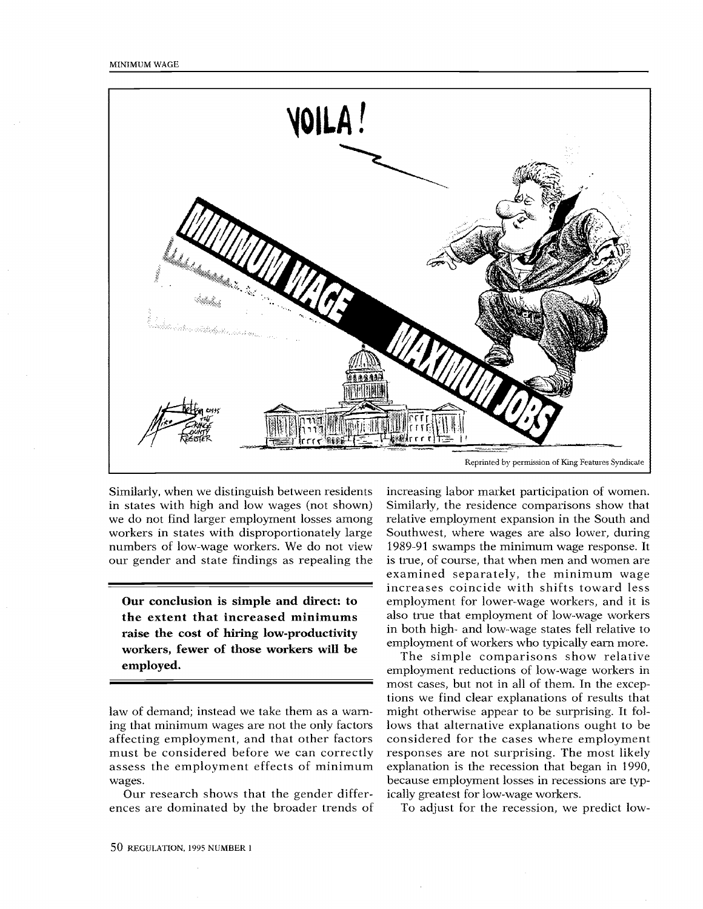

numbers of low-wage workers. We do not view 198 we do not find larger employment losses among  $\;$  rela Similarly, when we distinguish between residents in states with high and low wages (not shown) workers in states with disproportionately large our gender and state findings as repealing the

Our conclusion is simple and direct: to the extent that increased minimums raise the cost of hiring low-productivity workers, fewer of those workers will be employed.

law of demand; instead we take them as a warning that minimum wages are not the only factors affecting employment, and that other factors must be considered before we can correctly assess the employment effects of minimum wages.

Our research shows that the gender differences are dominated by the broader trends of

also true that employment of low-wage workers increasing labor market participation of women. Similarly, the residence comparisons show that relative employment expansion in the South and Southwest, where wages are also lower, during 1989-91 swamps the minimum wage response. It is true, of course, that when men and women are examined separately, the minimum wage increases coincide with shifts toward less employment for lower-wage workers, and it is in both high- and low-wage states fell relative to employment of workers who typically earn more.

The simple comparisons show relative employment reductions of low-wage workers in most cases, but not in all of them. In the exceptions we find clear explanations of results that might otherwise appear to be surprising. It follows that alternative explanations ought to be considered for the cases where employment responses are not surprising. The most likely explanation is the recession that began in 1990, because employment losses in recessions are typically greatest for low-wage workers.

To adjust for the recession, we predict low-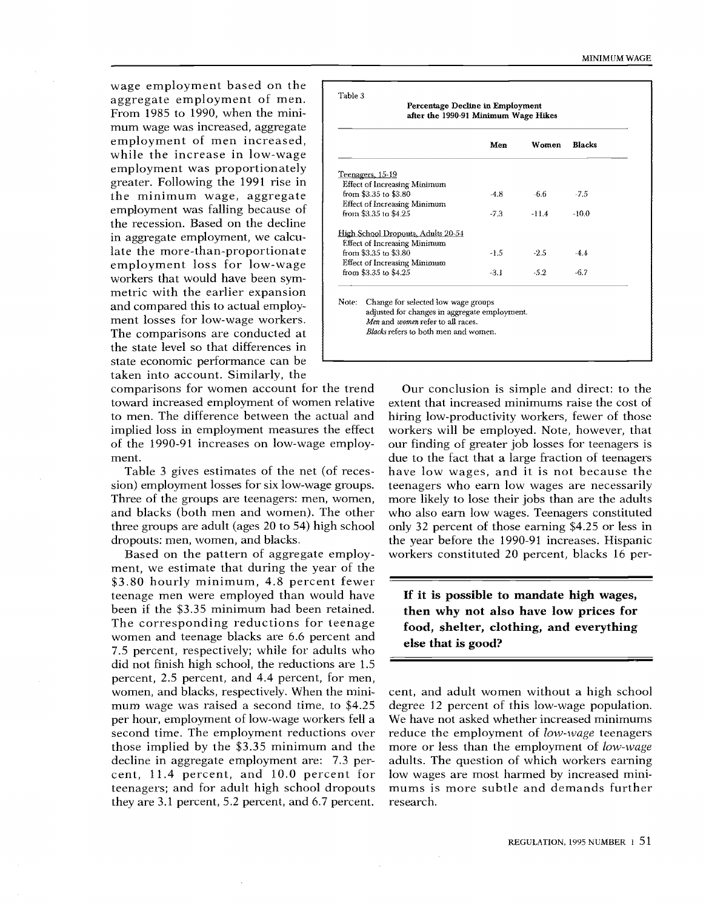taken into account. Similarly, the the state level so that differences in  $\vert$ metric with the earlier expansion  $\begin{pmatrix} 1 & 1 \\ 1 & 1 \end{pmatrix}$ wage employment based on the aggregate employment of men. From 1985 to 1990, when the minimum wage was increased, aggregate employment of men increased, while the increase in low-wage employment was proportionately greater. Following the 1991 rise in the minimum wage, aggregate employment was falling because of the recession. Based on the decline in aggregate employment, we calculate the more-than-proportionate employment loss for low-wage workers that would have been symand compared this to actual employment losses for low-wage workers. The comparisons are conducted at state economic performance can be

comparisons for women account for the trend C toward increased employment of women relative to men. The difference between the actual and implied loss in employment measures the effect of the 1990-91 increases on low-wage employment.

Table 3 gives estimates of the net (of recession) employment losses for six low-wage groups. Three of the groups are teenagers: men, women, and blacks (both men and women). The other three groups are adult (ages 20 to 54) high school dropouts: men, women, and blacks.

those implied by the \$3.35 minimum and the mor decline in aggregate employment are: 7.3 per-Based on the pattern of aggregate employper hour, employment of low-wage workers fell a We teenagers; and for adult high school dropouts mu<br>they are 3.1 percent, 5.2 percent, and 6.7 percent. rese ment, we estimate that during the year of the \$3.80 hourly minimum, 4.8 percent fewer teenage men were employed than would have been if the \$3.35 minimum had been retained. The corresponding reductions for teenage women and teenage blacks are 6.6 percent and 7.5 percent, respectively; while for adults who did not finish high school, the reductions are 1.5 percent, 2.5 percent, and 4.4 percent, for men, women, and blacks, respectively. When the minimum wage was raised a second time, to \$4.25 second time. The employment reductions over cent, 11.4 percent, and 10.0 percent for teenagers; and for adult high school dropouts

|                         |                                     | Men    | Women   | <b>Blacks</b> |
|-------------------------|-------------------------------------|--------|---------|---------------|
| Teenagers, 15-19        |                                     |        |         |               |
|                         | Effect of Increasing Minimum        |        |         |               |
| from \$3.35 to \$3.80   |                                     | $-4.8$ | -6.6    | $-7.5$        |
|                         | <b>Effect of Increasing Minimum</b> |        |         |               |
| from $$3.35$ to $$4.25$ |                                     | $-7.3$ | $-11.4$ | $-10.0$       |
|                         | High School Dropouts, Adults 20-54  |        |         |               |
|                         | <b>Effect of Increasing Minimum</b> |        |         |               |
| from \$3.35 to \$3.80   |                                     | $-1.5$ | $-2.5$  | $-4.4$        |
|                         | <b>Effect of Increasing Minimum</b> |        |         |               |
| from \$3.35 to \$4.25   |                                     | $-3.1$ | $-5.2$  | $-6.7$        |

who also earn low wages. Teenagers constituted Our conclusion is simple and direct: to the extent that increased minimums raise the cost of hiring low-productivity workers, fewer of those workers will be employed. Note, however, that our finding of greater job losses for teenagers is due to the fact that a large fraction of teenagers have low wages, and it is not because the teenagers who earn low wages are necessarily more likely to lose their jobs than are the adults only 32 percent of those earning \$4.25 or less in the year before the 1990-91 increases. Hispanic workers constituted 20 percent, blacks 16 per-

If it is possible to mandate high wages, then why not also have low prices for food, shelter, clothing, and everything else that is good?

cent, and adult women without a high school degree 12 percent of this low-wage population. We have not asked whether increased minimums reduce the employment of *low-wage* teenagers more or less than the employment of low-wage adults. The question of which workers earning low wages are most harmed by increased minimums is more subtle and demands further research.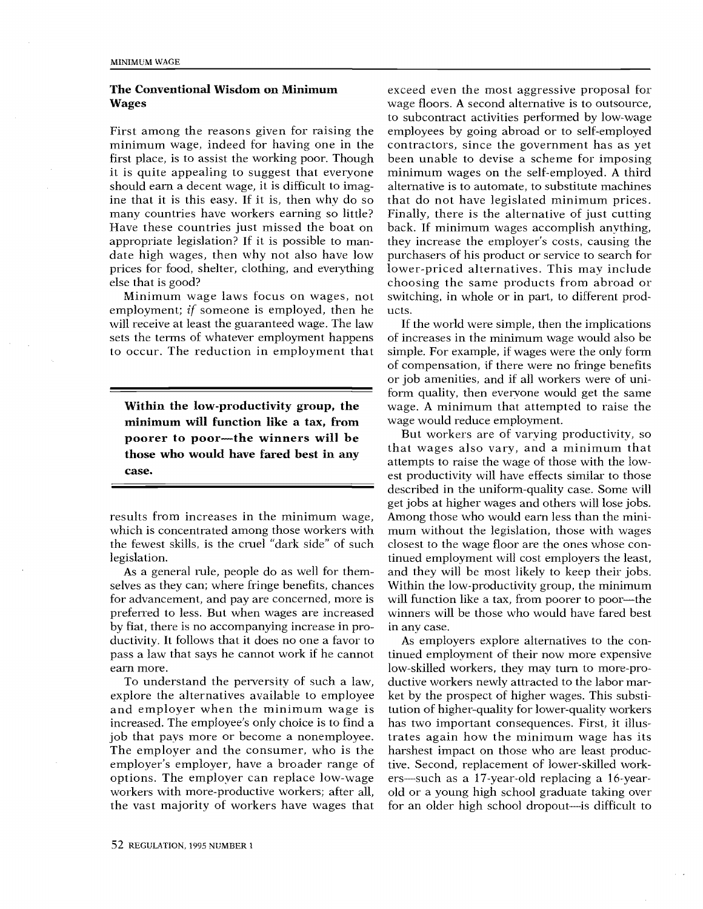## The Conventional Wisdom on Minimum Wages

ri tit<br>tit eli<br>e nm<br>til vh minimum wage, indeed for having one in the con first place, is to assist the working poor. Though bee date high wages, then why not also have low pur First among the reasons given for raising the it is quite appealing to suggest that everyone should earn a decent wage, it is difficult to imagine that it is this easy. If it is, then why do so many countries have workers earning so little? Have these countries just missed the boat on appropriate legislation? If it is possible to manprices for food, shelter, clothing, and everything else that is good?

Minimum wage laws focus on wages, not employment; if someone is employed, then he will receive at least the guaranteed wage. The law sets the terms of whatever employment happens to occur. The reduction in employment that

Within the low-productivity group, the minimum will function like a tax, from poorer to poor-the winners will be those who would have fared best in any case.

results from increases in the minimum wage, which is concentrated among those workers with the fewest skills, is the cruel "dark side" of such legislation.

As a general rule, people do as well for themselves as they can; where fringe benefits, chances for advancement, and pay are concerned, more is preferred to less. But when wages are increased by fiat, there is no accompanying increase in productivity. It follows that it does no one a favor to pass a law that says he cannot work if he cannot earn more.

job that pays more or become a nonemployee. trat er,<br>bade<br>ace The employer and the consumer, who is the hars and employer when the minimum wage is tuti To understand the perversity of such a law, explore the alternatives available to employee increased. The employee's only choice is to find a employer's employer, have a broader range of options. The employer can replace low-wage workers with more-productive workers; after all, the vast majority of workers have wages that

ple<br>ntin<br>nin<br>trf<br>al pp ou le en la finalitat du massium du seguerement du massium du massium du massium du massium du massium du ma<br>Solid du massium du massium du massium du massium du massium du massium du massium du massium du massium du ma exceed even the most aggressive proposal for wage floors. A second alternative is to outsource, to subcontract activities performed by low-wage employees by going abroad or to self-employed contractors, since the government has as yet been unable to devise a scheme for imposing minimum wages on the self-employed. A third alternative is to automate, to substitute machines that do not have legislated minimum prices. Finally, there is the alternative of just cutting back. If minimum wages accomplish anything, they increase the employer's costs, causing the purchasers of his product or service to search for lower-priced alternatives. This may include choosing the same products from abroad or switching, in whole or in part, to different products.

Fie.na<br>المالية<br>slued r s<br>บี่ t บี่ d rl wage would reduce employment. simple. For example, if wages were the only form of compensation, if there were no fringe benefits<br>or iob amenities, and if all workers were of uni-If the world were simple, then the implications of increases in the minimum wage would also be or job amenities, and if all workers were of uniform quality, then everyone would get the same wage. A minimum that attempted to raise the

and they will be most likely to keep their jobs.<br>Within the low-productivity group, the minimum it b n g \_ i st d th in ju ei y - ei d ik w y n w s ne S CAD "\*} .3' ,-r o-' ''+ But workers are of varying productivity, so that wages also vary, and a minimum that attempts to raise the wage of those with the lowest productivity will have effects similar to those described in the uniform-quality case. Some will get jobs at higher wages and others will lose jobs. Among those who would earn less than the minimum without the legislation, those with wages closest to the wage floor are the ones whose continued employment will cost employers the least, Within the low-productivity group, the minimum will function like a tax, from poorer to poor--- the winners will be those who would have fared best in any case.

tive. Second, replacement of lower-skilled worktinued employment of their now more expensive ductive workers newly attracted to the labor mar-As employers explore alternatives to the conlow-skilled workers, they may turn to more-proket by the prospect of higher wages. This substitution of higher-quality for lower-quality workers has two important consequences. First, it illustrates again how the minimum wage has its harshest impact on those who are least producers—such as a 17-year-old replacing a 16-yearold or a young high school graduate taking over for an older high school dropout-is difficult to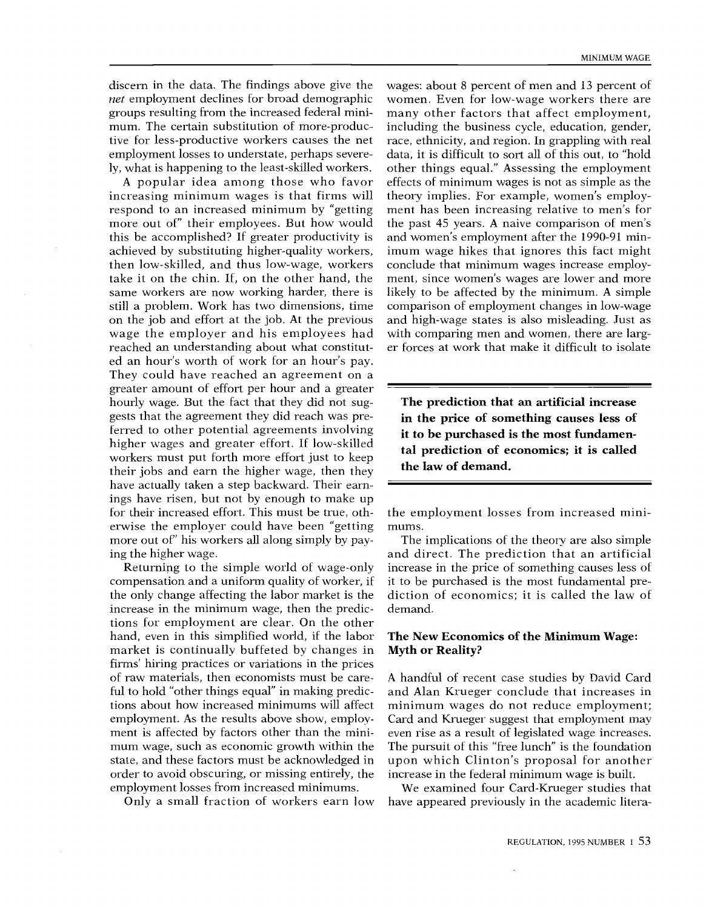discern in the data. The findings above give the net employment declines for broad demographic groups resulting from the increased federal minimum. The certain substitution of more-productive for less-productive workers causes the net employment losses to understate, perhaps severely, what is happening to the least-skilled workers.

increasing minimum wages is that firms will the ag<br>to<br>t c<br>c<br>b gia. pit. s < > m (g / ti w w n ti r,<br>' <sup>1</sup><br><<<br>se then low-skilled, and thus low-wage, workers con for their increased effort. This must be true, oth-A popular idea among those who favor respond to an increased minimum by "getting more out of" their employees. But how would this be accomplished? If greater productivity is achieved by substituting higher-quality workers, take it on the chin. If, on the other hand, the same workers are now working harder, there is still a problem. Work has two dimensions, time on the job and effort at the job. At the previous wage the employer and his employees had reached an understanding about what constituted an hour's worth of work for an hour's pay. They could have reached an agreement on a greater amount of effort per hour and a greater hourly wage. But the fact that they did not suggests that the agreement they did reach was preferred to other potential agreements involving higher wages and greater effort. If low-skilled workers must put forth more effort just to keep their jobs and earn the higher wage, then they have actually taken a step backward. Their earnings have risen, but not by enough to make up erwise the employer could have been "getting more out of" his workers all along simply by paying the higher wage.

the only change affecting the labor market is the dic ful to hold "other things equal" in making predictions for employment are clear. On the other<br>hand, even in this simplified world, if the labor **Th**e Returning to the simple world of wage-only compensation and a uniform quality of worker, if increase in the minimum wage, then the predictions for employment are clear. On the other market is continually buffeted by changes in firms' hiring practices or variations in the prices of raw materials, then economists must be caretions about how increased minimums will affect employment. As the results above show, employment is affected by factors other than the minimum wage, such as economic growth within the state, and these factors must be acknowledged in order to avoid obscuring, or missing entirely, the employment losses from increased minimums.

Only a small fraction of workers earn low

wages: about 8 percent of men and 13 percent of women. Even for low-wage workers there are many other factors that affect employment, including the business cycle, education, gender, race, ethnicity, and region. In grappling with real data, it is difficult to sort all of this out, to "hold other things equal." Assessing the employment effects of minimum wages is not as simple as the theory implies. For example, women's employment has been increasing relative to men's for the past 45 years. A naive comparison of men's and women's employment after the 1990-91 minimum wage hikes that ignores this fact might conclude that minimum wages increase employment, since women's wages are lower and more likely to be affected by the minimum. A simple comparison of employment changes in low-wage and high-wage states is also misleading. Just as with comparing men and women, there are larger forces at work that make it difficult to isolate

The prediction that an artificial increase in the price of something causes less of it to be purchased is the most fundamental prediction of economics; it is called the law of demand.

the employment losses from increased minimums.

The implications of the theory are also simple and direct. The prediction that an artificial increase in the price of something causes less of it to be purchased is the most fundamental prediction of economics; it is called the law of demand.

#### The New Economics of the Minimum Wage: Myth or Reality?

upon which Clinton's proposal for another A handful of recent case studies by David Card and Alan Krueger conclude that increases in minimum wages do not reduce employment; Card and Krueger suggest that employment may even rise as a result of legislated wage increases. The pursuit of this "free lunch" is the foundation increase in the federal minimum wage is built.

We examined four Card-Krueger studies that have appeared previously in the academic litera-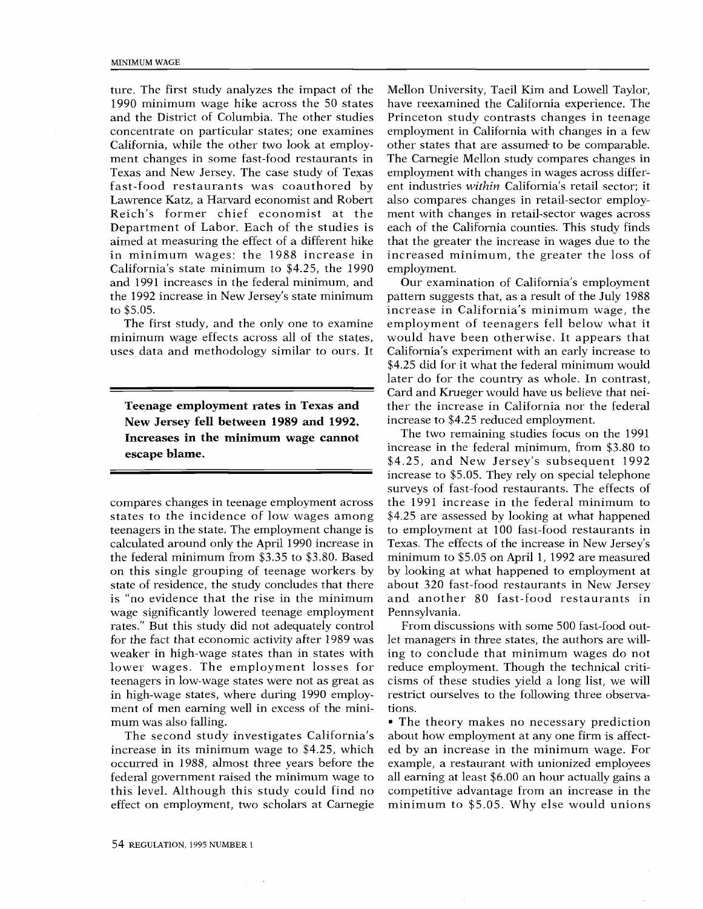ture. The first study analyzes the impact of the 1990 minimum wage hike across the 50 states and the District of Columbia. The other studies concentrate on particular states; one examines California, while the other two look at employment changes in some fast-food restaurants in Texas and New Jersey. The case study of Texas fast-food restaurants was coauthored by Lawrence Katz, a Harvard economist and Robert Reich's former chief economist at the Department of Labor. Each of the studies is aimed at measuring the effect of a different hike in minimum wages: the 1988 increase in California's state minimum to \$4.25, the 1990 and 1991 increases in the federal minimum, and the 1992 increase in New Jersey's state minimum to \$5.05.

The first study, and the only one to examine minimum wage effects across all of the states, uses data and methodology similar to ours. It

Teenage employment rates in Texas and New Jersey fell between 1989 and 1992. Increases in the minimum wage cannot escape blame.

compares changes in teenage employment across states to the incidence of low wages among teenagers in the state. The employment change is calculated around only the April 1990 increase in the federal minimum from \$3.35 to \$3.80. Based on this single grouping of teenage workers by state of residence, the study concludes that there is "no evidence that the rise in the minimum wage significantly lowered teenage employment rates." But this study did not adequately control for the fact that economic activity after 1989 was weaker in high-wage states than in states with lower wages. The employment losses for teenagers in low-wage states were not as great as in high-wage states, where during 1990 employment of men earning well in excess of the minimum was also falling.

occurred in 1988, almost three years before the exa The second study investigates California's increase in its minimum wage to \$4.25, which federal government raised the minimum wage to this level. Although this study could find no effect on employment, two scholars at Carnegie

ment with changes in retail-sector wages across Princeton study contrasts changes in teenage Mellon University, Taeil Kim and Lowell Taylor, also compares changes in retail-sector employemployment with changes in wages across differthat the greater the increase in wages due to the employment in California with changes in a few other states that are assumed to be comparable.<br>The Carnegie Mellon study compares changes in have reexamined the California experience. The other states that are assumed- to be comparable. ent industries within California's retail sector; it each of the California counties. This study finds increased minimum, the greater the loss of employment.

(") "'. di he nry we in university we he in the strike in the strike in the strike in the strike in the strike in the strike in the strike in the strike in the strike in the strike in the strike in the strike in the strike in the t ase voltri<br>it it ide<br>it 30 19 hists<br>im .-F ,-F ,-F a t d is e. re ...<br>F pipper ...<br>F pipper ... Our examination of California's employment later do for the country as whole. In contrast,<br>Card and Krueger would have us believe that neiwould have been otherwise. It appears that increase to \$4.25 reduced employment. later do for the country as whole. In contrast, pattern suggests that, as a result of the July 1988 increase in California's minimum wage, the employment of teenagers fell below what it California's experiment with an early increase to \$4.25 did for it what the federal minimum would ther the increase in California nor the federal

the 1991 increase in the federal minimum to and another 80 fast-food restaurants in about 320 fast-food restaurants in New Jersey increase in the federal minimum, from \$3.80 to increase to \$5.05. They rely on special telephone 'CS \$4.25, and New Jersey's subsequent 1992 p., ere e i p., i o, intra translation the credit of the credit of the credit of the credit of the credit of the credit of the credit of the credit of the credit of the credit of the credit of the credit of the credit of t The two remaining studies focus on the 1991 surveys of fast-food restaurants. The effects of \$4.25 are assessed by looking at what happened to employment at 100 fast-food restaurants in Texas. The effects of the increase in New Jersey's minimum to \$5.05 on April 1, 1992 are measured by looking at what happened to employment at Pennsylvania.

afate ia cussidade este our premieration de la cussidade este our premieration de la commentation de la commen<br>Altre de la comme de la commentation de la commentation de la commentation de la commentation de la commentati d n<br>`C<br>Pl<br>pl let managers in three states, the authors are willcisms of these studies yield a long list, we will From discussions with some 500 fast-food outing to conclude that minimum wages do not reduce employment. Though the technical critirestrict ourselves to the following three observations.

minimum to \$5.05. Why else would unions The theory makes no necessary prediction about how employment at any one firm is affected by an increase in the minimum wage. For example, a restaurant with unionized employees all earning at least \$6.00 an hour actually gains a competitive advantage from an increase in the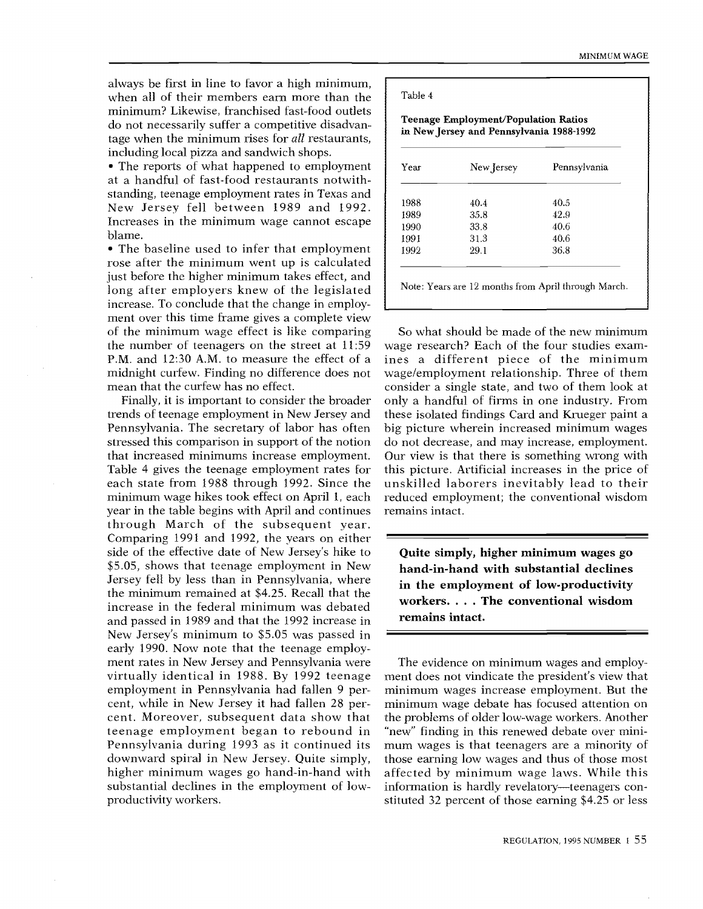always be first in line to favor a high minimum, when all of their members earn more than the minimum? Likewise, franchised fast-food outlets do not necessarily suffer a competitive disadvantage when the minimum rises for all restaurants, including local pizza and sandwich shops.

• The reports of what happened to employment at a handful of fast-food restaurants notwithstanding, teenage employment rates in Texas and New Jersey fell between 1989 and 1992. Increases in the minimum wage cannot escape blame.

The baseline used to infer that employment rose after the minimum went up is calculated just before the higher minimum takes effect, and long after employers knew of the legislated increase. To conclude that the change in employment over this time frame gives a complete view of the minimum wage effect is like comparing the number of teenagers on the street at 11:59 P.M. and 12:30 A.M. to measure the effect of a midnight curfew. Finding no difference does not mean that the curfew has no effect.

cent. Moreover, subsequent data show that the p minimum wage hikes took effect on April 1, each - red Comparing 1991 and 1992, the years on either  $\equiv$ ment rates in New Jersey and Pennsylvania were<br>virtually identical in 1988. By 1992 teenage mer  $\mathbf{I}$ te<br>th<br>air downward spiral in New Jersey. Quite simply, tho ,-, ,S; +"+ ,-. Finally, it is important to consider the broader trends of teenage employment in New Jersey and Pennsylvania. The secretary of labor has often stressed this comparison in support of the notion that increased minimums increase employment. Table 4 gives the teenage employment rates for each state from 1988 through 1992. Since the year in the table begins with April and continues through March of the subsequent year. side of the effective date of New Jersey's hike to \$5.05, shows that teenage employment in New Jersey fell by less than in Pennsylvania, where  $\frac{1}{1}$ the minimum remained at \$4.25. Recall that the increase in the federal minimum was debated and passed in 1989 and that the 1992 increase in New Jersey's minimum to \$5.05 was passed in early 1990. Now note that the teenage employment rates in New Jersey and Pennsylvania were employment in Pennsylvania had fallen 9 percent, while in New Jersey it had fallen 28 perteenage employment began to rebound in Pennsylvania during 1993 as it continued its higher minimum wages go hand-in-hand with substantial declines in the employment of lowproductivity workers.

#### Table 4

#### Teenage Employment/Population Ratios in New Jersey and Pennsylvania 1988-1992

| Year | New Jersey | Pennsylvania |
|------|------------|--------------|
| 1988 | 40.4       | 40.5         |
| 1989 | 35.8       | 42.9         |
| 1990 | 33.8       | 40.6         |
| 1991 | 31.3       | 40.6         |
| 1992 | 29.1       | 36.8         |

unskilled laborers inevitably lead to their So what should be made of the new minimum wage research? Each of the four studies examines a different piece of the minimum wage/employment relationship. Three of them consider a single state, and two of them look at only a handful of firms in one industry. From these isolated findings Card and Krueger paint a big picture wherein increased minimum wages do not decrease, and may increase, employment. Our view is that there is something wrong with this picture. Artificial increases in the price of reduced employment; the conventional wisdom remains intact.

Quite simply, higher minimum wages go hand-in-hand with substantial declines in the employment of low-productivity workers.... The conventional wisdom remains intact.

"new" finding in this renewed debate over mini-The evidence on minimum wages and employment does not vindicate the president's view that minimum wages increase employment. But the minimum wage debate has focused attention on the problems of older low-wage workers. Another mum wages is that teenagers are a minority of those earning low wages and thus of those most affected by minimum wage laws. While this information is hardly revelatory—teenagers constituted 32 percent of those earning \$4.25 or less